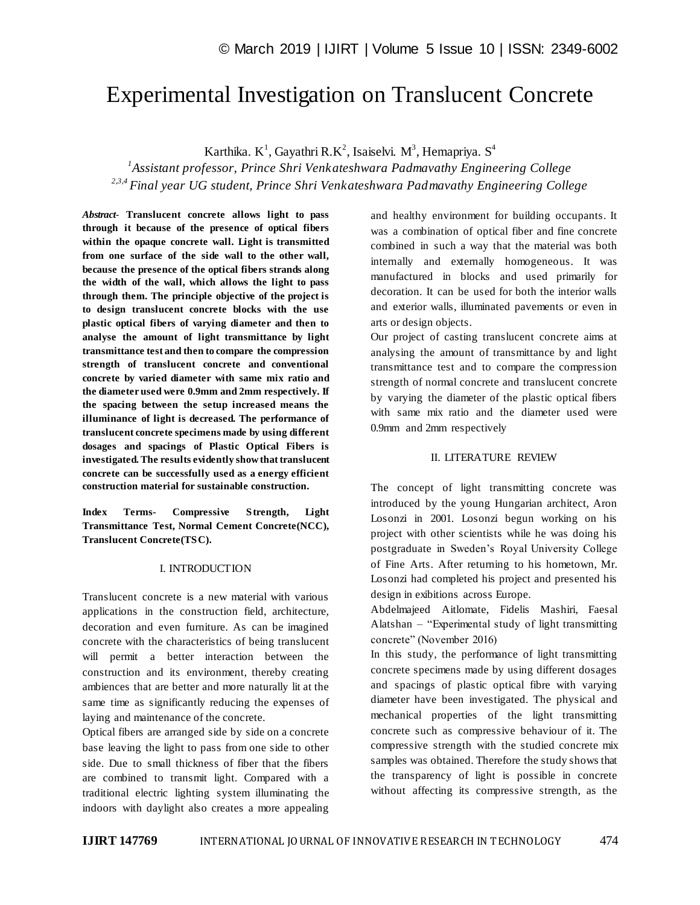# Experimental Investigation on Translucent Concrete

Karthika. K<sup>1</sup>, Gayathri R.K<sup>2</sup>, Isaiselvi. M<sup>3</sup>, Hemapriya. S<sup>4</sup>

*1 Assistant professor, Prince Shri Venkateshwara Padmavathy Engineering College 2,3,4 Final year UG student, Prince Shri Venkateshwara Padmavathy Engineering College*

*Abstract*- **Translucent concrete allows light to pass through it because of the presence of optical fibers within the opaque concrete wall. Light is transmitted from one surface of the side wall to the other wall, because the presence of the optical fibers strands along the width of the wall, which allows the light to pass through them. The principle objective of the project is to design translucent concrete blocks with the use plastic optical fibers of varying diameter and then to analyse the amount of light transmittance by light transmittance test and then to compare the compression strength of translucent concrete and conventional concrete by varied diameter with same mix ratio and the diameter used were 0.9mm and 2mm respectively. If the spacing between the setup increased means the illuminance of light is decreased. The performance of translucent concrete specimens made by using different dosages and spacings of Plastic Optical Fibers is investigated. The results evidently showthat translucent concrete can be successfully used as a energy efficient construction material for sustainable construction.**

**Index Terms- Compressive Strength, Light Transmittance Test, Normal Cement Concrete(NCC), Translucent Concrete(TSC).**

## I. INTRODUCTION

Translucent concrete is a new material with various applications in the construction field, architecture, decoration and even furniture. As can be imagined concrete with the characteristics of being translucent will permit a better interaction between the construction and its environment, thereby creating ambiences that are better and more naturally lit at the same time as significantly reducing the expenses of laying and maintenance of the concrete.

Optical fibers are arranged side by side on a concrete base leaving the light to pass from one side to other side. Due to small thickness of fiber that the fibers are combined to transmit light. Compared with a traditional electric lighting system illuminating the indoors with daylight also creates a more appealing

and healthy environment for building occupants. It was a combination of optical fiber and fine concrete combined in such a way that the material was both internally and externally homogeneous. It was manufactured in blocks and used primarily for decoration. It can be used for both the interior walls and exterior walls, illuminated pavements or even in arts or design objects.

Our project of casting translucent concrete aims at analysing the amount of transmittance by and light transmittance test and to compare the compression strength of normal concrete and translucent concrete by varying the diameter of the plastic optical fibers with same mix ratio and the diameter used were 0.9mm and 2mm respectively

## II. LITERATURE REVIEW

The concept of light transmitting concrete was introduced by the young Hungarian architect, Aron Losonzi in 2001. Losonzi begun working on his project with other scientists while he was doing his postgraduate in Sweden's Royal University College of Fine Arts. After returning to his hometown, Mr. Losonzi had completed his project and presented his design in exibitions across Europe.

Abdelmajeed Aitlomate, Fidelis Mashiri, Faesal Alatshan – "Experimental study of light transmitting concrete" (November 2016)

In this study, the performance of light transmitting concrete specimens made by using different dosages and spacings of plastic optical fibre with varying diameter have been investigated. The physical and mechanical properties of the light transmitting concrete such as compressive behaviour of it. The compressive strength with the studied concrete mix samples was obtained. Therefore the study shows that the transparency of light is possible in concrete without affecting its compressive strength, as the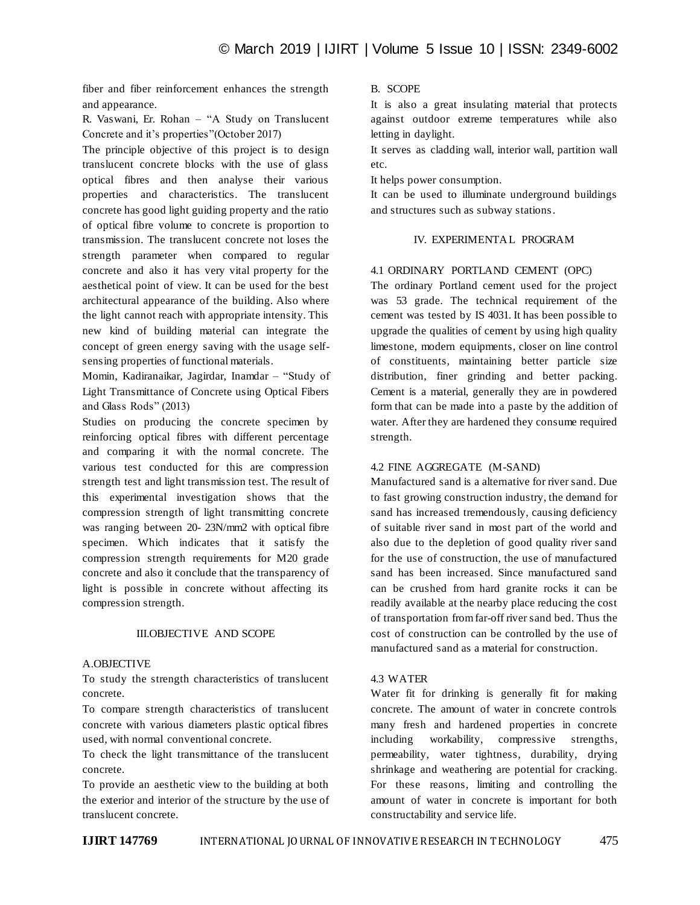fiber and fiber reinforcement enhances the strength and appearance.

R. Vaswani, Er. Rohan – "A Study on Translucent Concrete and it's properties"(October 2017)

The principle objective of this project is to design translucent concrete blocks with the use of glass optical fibres and then analyse their various properties and characteristics. The translucent concrete has good light guiding property and the ratio of optical fibre volume to concrete is proportion to transmission. The translucent concrete not loses the strength parameter when compared to regular concrete and also it has very vital property for the aesthetical point of view. It can be used for the best architectural appearance of the building. Also where the light cannot reach with appropriate intensity. This new kind of building material can integrate the concept of green energy saving with the usage selfsensing properties of functional materials.

Momin, Kadiranaikar, Jagirdar, Inamdar – "Study of Light Transmittance of Concrete using Optical Fibers and Glass Rods" (2013)

Studies on producing the concrete specimen by reinforcing optical fibres with different percentage and comparing it with the normal concrete. The various test conducted for this are compression strength test and light transmission test. The result of this experimental investigation shows that the compression strength of light transmitting concrete was ranging between 20- 23N/mm2 with optical fibre specimen. Which indicates that it satisfy the compression strength requirements for M20 grade concrete and also it conclude that the transparency of light is possible in concrete without affecting its compression strength.

#### III.OBJECTIVE AND SCOPE

#### A.OBJECTIVE

To study the strength characteristics of translucent concrete.

To compare strength characteristics of translucent concrete with various diameters plastic optical fibres used, with normal conventional concrete.

To check the light transmittance of the translucent concrete.

To provide an aesthetic view to the building at both the exterior and interior of the structure by the use of translucent concrete.

# B. SCOPE

It is also a great insulating material that protects against outdoor extreme temperatures while also letting in daylight.

It serves as cladding wall, interior wall, partition wall etc.

It helps power consumption.

It can be used to illuminate underground buildings and structures such as subway stations.

# IV. EXPERIMENTAL PROGRAM

# 4.1 ORDINARY PORTLAND CEMENT (OPC)

The ordinary Portland cement used for the project was 53 grade. The technical requirement of the cement was tested by IS 4031. It has been possible to upgrade the qualities of cement by using high quality limestone, modern equipments, closer on line control of constituents, maintaining better particle size distribution, finer grinding and better packing. Cement is a material, generally they are in powdered form that can be made into a paste by the addition of water. After they are hardened they consume required strength.

#### 4.2 FINE AGGREGATE (M-SAND)

Manufactured sand is a alternative for river sand. Due to fast growing construction industry, the demand for sand has increased tremendously, causing deficiency of suitable river sand in most part of the world and also due to the depletion of good quality river sand for the use of construction, the use of manufactured sand has been increased. Since manufactured sand can be crushed from hard granite rocks it can be readily available at the nearby place reducing the cost of transportation from far-off river sand bed. Thus the cost of construction can be controlled by the use of manufactured sand as a material for construction.

## 4.3 WATER

Water fit for drinking is generally fit for making concrete. The amount of water in concrete controls many fresh and hardened properties in concrete including workability, compressive strengths, permeability, water tightness, durability, drying shrinkage and weathering are potential for cracking. For these reasons, limiting and controlling the amount of water in concrete is important for both constructability and service life.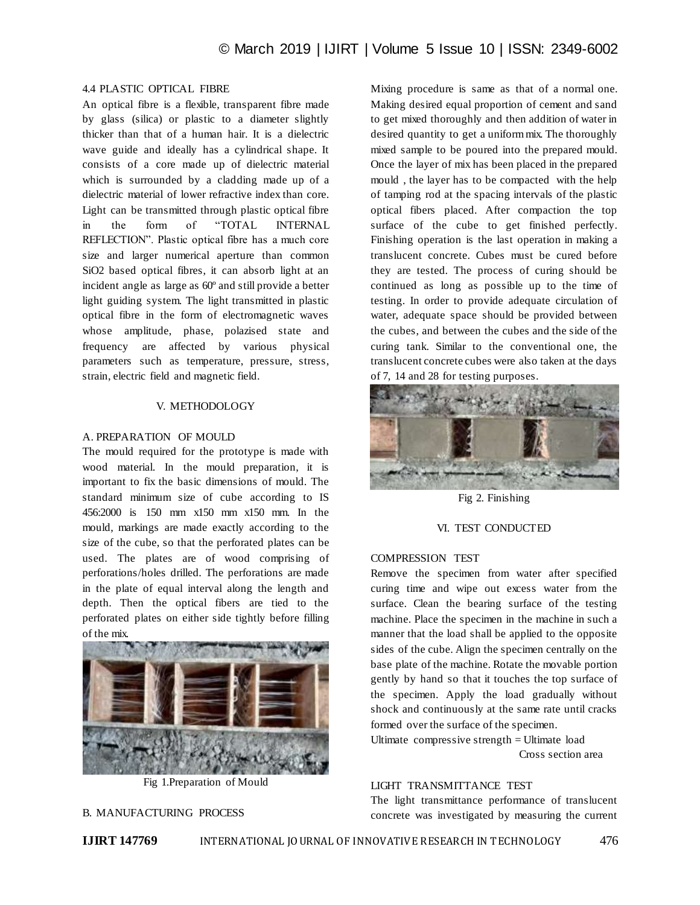# 4.4 PLASTIC OPTICAL FIBRE

An optical fibre is a flexible, transparent fibre made by glass (silica) or plastic to a diameter slightly thicker than that of a human hair. It is a dielectric wave guide and ideally has a cylindrical shape. It consists of a core made up of dielectric material which is surrounded by a cladding made up of a dielectric material of lower refractive index than core. Light can be transmitted through plastic optical fibre in the form of "TOTAL INTERNAL REFLECTION". Plastic optical fibre has a much core size and larger numerical aperture than common SiO2 based optical fibres, it can absorb light at an incident angle as large as 60º and still provide a better light guiding system. The light transmitted in plastic optical fibre in the form of electromagnetic waves whose amplitude, phase, polazised state and frequency are affected by various physical parameters such as temperature, pressure, stress, strain, electric field and magnetic field.

#### V. METHODOLOGY

### A. PREPARATION OF MOULD

The mould required for the prototype is made with wood material. In the mould preparation, it is important to fix the basic dimensions of mould. The standard minimum size of cube according to IS 456:2000 is 150 mm x150 mm x150 mm. In the mould, markings are made exactly according to the size of the cube, so that the perforated plates can be used. The plates are of wood comprising of perforations/holes drilled. The perforations are made in the plate of equal interval along the length and depth. Then the optical fibers are tied to the perforated plates on either side tightly before filling of the mix.



Fig 1.Preparation of Mould

## B. MANUFACTURING PROCESS

Mixing procedure is same as that of a normal one. Making desired equal proportion of cement and sand to get mixed thoroughly and then addition of water in desired quantity to get a uniform mix. The thoroughly mixed sample to be poured into the prepared mould. Once the layer of mix has been placed in the prepared mould , the layer has to be compacted with the help of tamping rod at the spacing intervals of the plastic optical fibers placed. After compaction the top surface of the cube to get finished perfectly. Finishing operation is the last operation in making a translucent concrete. Cubes must be cured before they are tested. The process of curing should be continued as long as possible up to the time of testing. In order to provide adequate circulation of water, adequate space should be provided between the cubes, and between the cubes and the side of the curing tank. Similar to the conventional one, the translucent concrete cubes were also taken at the days of 7, 14 and 28 for testing purposes.



Fig 2. Finishing

## VI. TEST CONDUCTED

#### COMPRESSION TEST

Remove the specimen from water after specified curing time and wipe out excess water from the surface. Clean the bearing surface of the testing machine. Place the specimen in the machine in such a manner that the load shall be applied to the opposite sides of the cube. Align the specimen centrally on the base plate of the machine. Rotate the movable portion gently by hand so that it touches the top surface of the specimen. Apply the load gradually without shock and continuously at the same rate until cracks formed over the surface of the specimen.

Ultimate compressive strength = Ultimate load Cross section area

# LIGHT TRANSMITTANCE TEST

The light transmittance performance of translucent concrete was investigated by measuring the current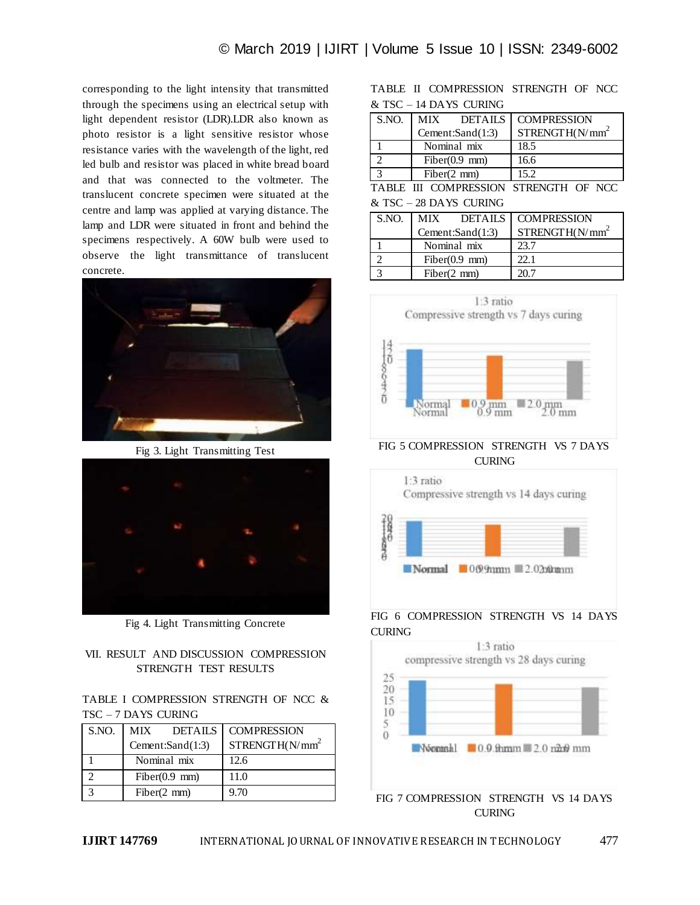corresponding to the light intensity that transmitted through the specimens using an electrical setup with light dependent resistor (LDR).LDR also known as photo resistor is a light sensitive resistor whose resistance varies with the wavelength of the light, red led bulb and resistor was placed in white bread board and that was connected to the voltmeter. The translucent concrete specimen were situated at the centre and lamp was applied at varying distance. The lamp and LDR were situated in front and behind the specimens respectively. A 60W bulb were used to observe the light transmittance of translucent concrete.



Fig 3. Light Transmitting Test



Fig 4. Light Transmitting Concrete

# VII. RESULT AND DISCUSSION COMPRESSION STRENGTH TEST RESULTS

TABLE I COMPRESSION STRENGTH OF NCC & TSC – 7 DAYS CURING

| S.NO. | MIX -            | DETAILS         | <b>COMPRESSION</b>           |  |
|-------|------------------|-----------------|------------------------------|--|
|       | Cement:Sand(1:3) |                 | STRENGTH(N/mm <sup>2</sup> ) |  |
|       | Nominal mix      |                 | 12.6                         |  |
|       |                  | $Fiber(0.9$ mm) | 11.0                         |  |
|       | Fiber(2 mm)      |                 | 9.70                         |  |

|  |                        | TABLE II COMPRESSION STRENGTH OF NCC |  |
|--|------------------------|--------------------------------------|--|
|  | & TSC – 14 DAYS CURING |                                      |  |

| S.NO.         | MIX DETAILS      | <b>COMPRESSION</b>                    |  |  |
|---------------|------------------|---------------------------------------|--|--|
|               | Cement:Sand(1:3) | STRENGTH(N/mm <sup>2</sup> )          |  |  |
|               | Nominal mix      | 18.5                                  |  |  |
| ി             | Fiber(0.9 mm)    | 16.6                                  |  |  |
| $\mathcal{R}$ | Fiber(2 mm)      | 15.2                                  |  |  |
|               |                  | TABLE III COMPRESSION STRENGTH OF NCC |  |  |

#### & TSC – 28 DAYS CURING

| S.NO. | MIX DETAILS   COMPRESSION |                              |  |
|-------|---------------------------|------------------------------|--|
|       | Cement:Sand(1:3)          | STRENGTH(N/mm <sup>2</sup> ) |  |
|       | Nominal mix               | 23.7                         |  |
|       | Fiber(0.9 mm)             | 22.1                         |  |
|       | Fiber(2 mm)               |                              |  |



FIG 5 COMPRESSION STRENGTH VS 7 DAYS CURING



# FIG 6 COMPRESSION STRENGTH VS 14 DAYS **CURING**



FIG 7 COMPRESSION STRENGTH VS 14 DAYS CURING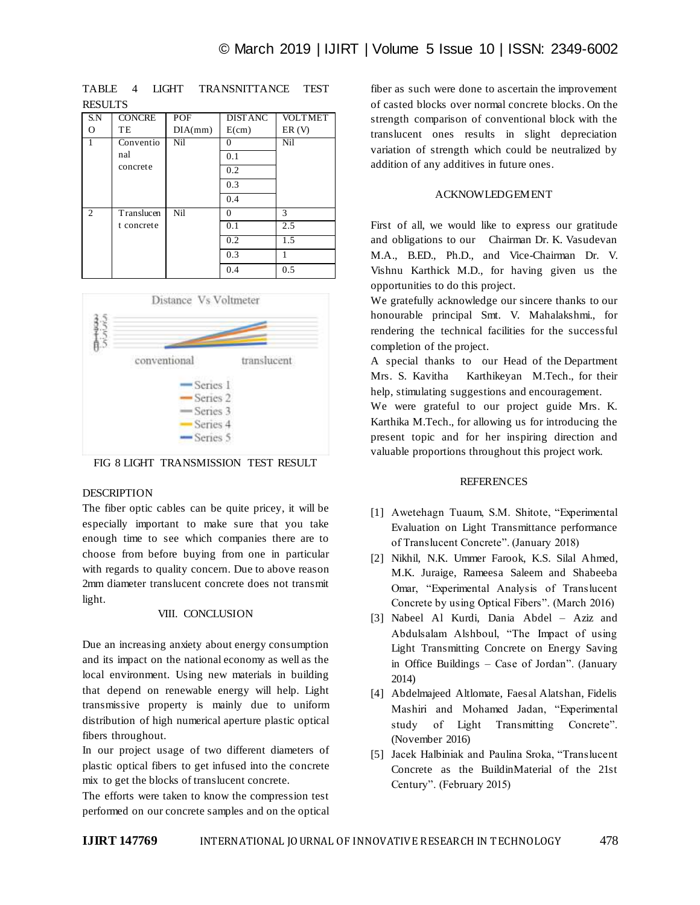| S.N            | <b>CONCRE</b> | POF     | <b>DISTANC</b> | <b>VOLTMET</b> |
|----------------|---------------|---------|----------------|----------------|
| Ω              | TE            | DIA(mm) | E(cm)          | ER(V)          |
|                | Conventio     | Nil     | $\Omega$       | <b>Nil</b>     |
|                | nal           |         | 0.1            |                |
|                | concrete      |         | 0.2            |                |
|                |               |         | 0.3            |                |
|                |               |         | 0.4            |                |
| $\mathfrak{D}$ | Translucen    | Nil     | 0              | 3              |
|                | t concrete    |         | 0.1            | 2.5            |
|                |               |         | 0.2            | 1.5            |
|                |               |         | 0.3            |                |
|                |               |         | 0.4            | 0.5            |

TABLE 4 LIGHT TRANSNITTANCE TEST **RESULTS** 



FIG 8 LIGHT TRANSMISSION TEST RESULT

# DESCRIPTION

The fiber optic cables can be quite pricey, it will be especially important to make sure that you take enough time to see which companies there are to choose from before buying from one in particular with regards to quality concern. Due to above reason 2mm diameter translucent concrete does not transmit light.

# VIII. CONCLUSION

Due an increasing anxiety about energy consumption and its impact on the national economy as well as the local environment. Using new materials in building that depend on renewable energy will help. Light transmissive property is mainly due to uniform distribution of high numerical aperture plastic optical fibers throughout.

In our project usage of two different diameters of plastic optical fibers to get infused into the concrete mix to get the blocks of translucent concrete.

The efforts were taken to know the compression test performed on our concrete samples and on the optical fiber as such were done to ascertain the improvement of casted blocks over normal concrete blocks. On the strength comparison of conventional block with the translucent ones results in slight depreciation variation of strength which could be neutralized by addition of any additives in future ones.

## ACKNOWLEDGEMENT

First of all, we would like to express our gratitude and obligations to our Chairman Dr. K. Vasudevan M.A., B.ED., Ph.D., and Vice-Chairman Dr. V. Vishnu Karthick M.D., for having given us the opportunities to do this project.

We gratefully acknowledge our sincere thanks to our honourable principal Smt. V. Mahalakshmi., for rendering the technical facilities for the successful completion of the project.

A special thanks to our Head of the Department Mrs. S. Kavitha Karthikeyan M.Tech., for their help, stimulating suggestions and encouragement.

We were grateful to our project guide Mrs. K. Karthika M.Tech., for allowing us for introducing the present topic and for her inspiring direction and valuable proportions throughout this project work.

#### REFERENCES

- [1] Awetehagn Tuaum, S.M. Shitote, "Experimental Evaluation on Light Transmittance performance of Translucent Concrete". (January 2018)
- [2] Nikhil, N.K. Ummer Farook, K.S. Silal Ahmed, M.K. Juraige, Rameesa Saleem and Shabeeba Omar, "Experimental Analysis of Translucent Concrete by using Optical Fibers". (March 2016)
- [3] Nabeel Al Kurdi, Dania Abdel Aziz and Abdulsalam Alshboul, "The Impact of using Light Transmitting Concrete on Energy Saving in Office Buildings – Case of Jordan". (January 2014)
- [4] Abdelmajeed Altlomate, Faesal Alatshan, Fidelis Mashiri and Mohamed Jadan, "Experimental study of Light Transmitting Concrete". (November 2016)
- [5] Jacek Halbiniak and Paulina Sroka, "Translucent Concrete as the BuildinMaterial of the 21st Century". (February 2015)